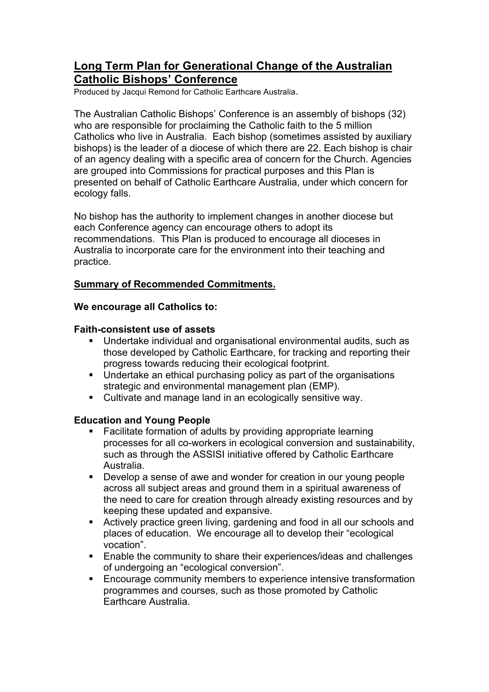# **Long Term Plan for Generational Change of the Australian Catholic Bishops' Conference**

Produced by Jacqui Remond for Catholic Earthcare Australia.

The Australian Catholic Bishops' Conference is an assembly of bishops (32) who are responsible for proclaiming the Catholic faith to the 5 million Catholics who live in Australia. Each bishop (sometimes assisted by auxiliary bishops) is the leader of a diocese of which there are 22. Each bishop is chair of an agency dealing with a specific area of concern for the Church. Agencies are grouped into Commissions for practical purposes and this Plan is presented on behalf of Catholic Earthcare Australia, under which concern for ecology falls.

No bishop has the authority to implement changes in another diocese but each Conference agency can encourage others to adopt its recommendations. This Plan is produced to encourage all dioceses in Australia to incorporate care for the environment into their teaching and practice.

## **Summary of Recommended Commitments.**

## **We encourage all Catholics to:**

#### **Faith-consistent use of assets**

- Undertake individual and organisational environmental audits, such as those developed by Catholic Earthcare, for tracking and reporting their progress towards reducing their ecological footprint.
- Undertake an ethical purchasing policy as part of the organisations strategic and environmental management plan (EMP).
- Cultivate and manage land in an ecologically sensitive way.

## **Education and Young People**

- Facilitate formation of adults by providing appropriate learning processes for all co-workers in ecological conversion and sustainability, such as through the ASSISI initiative offered by Catholic Earthcare Australia.
- Develop a sense of awe and wonder for creation in our young people across all subject areas and ground them in a spiritual awareness of the need to care for creation through already existing resources and by keeping these updated and expansive.
- Actively practice green living, gardening and food in all our schools and places of education. We encourage all to develop their "ecological vocation".
- Enable the community to share their experiences/ideas and challenges of undergoing an "ecological conversion".
- **Encourage community members to experience intensive transformation** programmes and courses, such as those promoted by Catholic Earthcare Australia.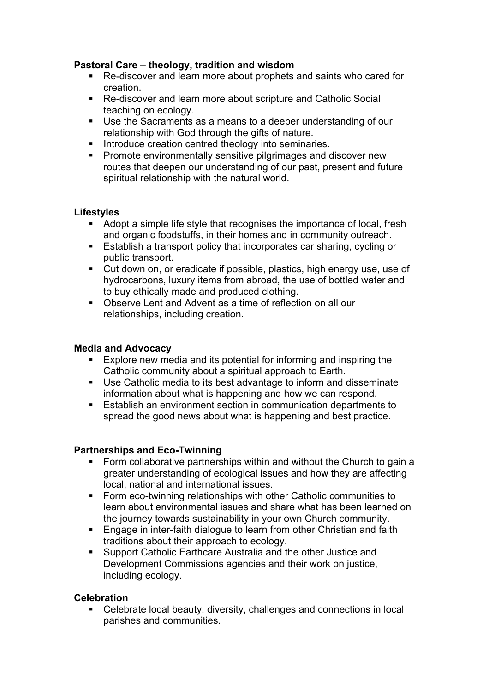# **Pastoral Care – theology, tradition and wisdom**

- Re-discover and learn more about prophets and saints who cared for creation.
- Re-discover and learn more about scripture and Catholic Social teaching on ecology.
- Use the Sacraments as a means to a deeper understanding of our relationship with God through the gifts of nature.
- Introduce creation centred theology into seminaries.
- **Promote environmentally sensitive pilgrimages and discover new** routes that deepen our understanding of our past, present and future spiritual relationship with the natural world.

## **Lifestyles**

- Adopt a simple life style that recognises the importance of local, fresh and organic foodstuffs, in their homes and in community outreach.
- Establish a transport policy that incorporates car sharing, cycling or public transport.
- Cut down on, or eradicate if possible, plastics, high energy use, use of hydrocarbons, luxury items from abroad, the use of bottled water and to buy ethically made and produced clothing.
- Observe Lent and Advent as a time of reflection on all our relationships, including creation.

### **Media and Advocacy**

- Explore new media and its potential for informing and inspiring the Catholic community about a spiritual approach to Earth.
- Use Catholic media to its best advantage to inform and disseminate information about what is happening and how we can respond.
- Establish an environment section in communication departments to spread the good news about what is happening and best practice.

## **Partnerships and Eco-Twinning**

- Form collaborative partnerships within and without the Church to gain a greater understanding of ecological issues and how they are affecting local, national and international issues.
- **Form eco-twinning relationships with other Catholic communities to** learn about environmental issues and share what has been learned on the journey towards sustainability in your own Church community.
- Engage in inter-faith dialogue to learn from other Christian and faith traditions about their approach to ecology.
- **Support Catholic Earthcare Australia and the other Justice and** Development Commissions agencies and their work on justice, including ecology.

## **Celebration**

 Celebrate local beauty, diversity, challenges and connections in local parishes and communities.